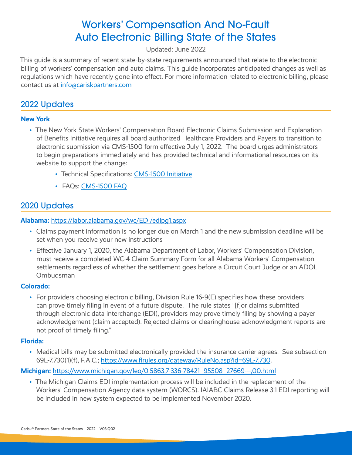# Workers' Compensation And No-Fault Auto Electronic Billing State of the States

# Updated: June 2022

This guide is a summary of recent state-by-state requirements announced that relate to the electronic billing of workers' compensation and auto claims. This guide incorporates anticipated changes as well as regulations which have recently gone into effect. For more information related to electronic billing, please contact us at [info@cariskpartners.com](mailto:info@cariskpartners.com)

# 2022 Updates

# **New York**

- The New York State Workers' Compensation Board Electronic Claims Submission and Explanation of Benefits Initiative requires all board authorized Healthcare Providers and Payers to transition to electronic submission via CMS-1500 form effective July 1, 2022. The board urges administrators to begin preparations immediately and has provided technical and informational resources on its website to support the change:
	- Technical Specifications: [CMS-1500 Initiative](http://www.wcb.ny.gov/CMS-1500/)
	- FAQs: [CMS-1500 FAQ](http://www.wcb.ny.gov/CMS-1500/faqs.jsp)

# 2020 Updates

# **Alabama:** <https://labor.alabama.gov/wc/EDI/edipg1.aspx>

- Claims payment information is no longer due on March 1 and the new submission deadline will be set when you receive your new instructions
- Effective January 1, 2020, the Alabama Department of Labor, Workers' Compensation Division, must receive a completed WC-4 Claim Summary Form for all Alabama Workers' Compensation settlements regardless of whether the settlement goes before a Circuit Court Judge or an ADOL Ombudsman

# **Colorado:**

• For providers choosing electronic billing, Division Rule 16-9(E) specifies how these providers can prove timely filing in event of a future dispute. The rule states "[f]or claims submitted through electronic data interchange (EDI), providers may prove timely filing by showing a payer acknowledgement (claim accepted). Rejected claims or clearinghouse acknowledgment reports are not proof of timely filing."

#### **Florida:**

• Medical bills may be submitted electronically provided the insurance carrier agrees. See subsection 69L-7.730(1)(f), F.A.C.; [https://www.flrules.org/gateway/RuleNo.asp?id=69L-7.730.](https://www.flrules.org/gateway/RuleNo.asp?id=69L-7.730)

# **Michigan:** [https://www.michigan.gov/leo/0,5863,7-336-78421\\_95508\\_27669---,00.html](https://www.michigan.gov/leo/0,5863,7-336-78421_95508_27669---,00.html)

• The Michigan Claims EDI implementation process will be included in the replacement of the Workers' Compensation Agency data system (WORCS). IAIABC Claims Release 3.1 EDI reporting will be included in new system expected to be implemented November 2020.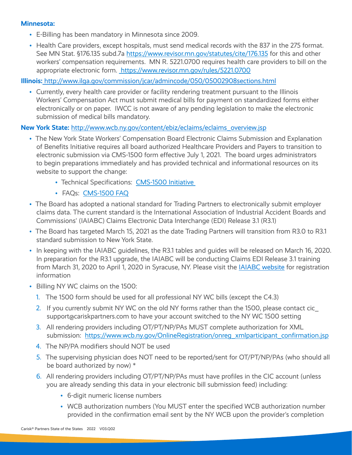#### **Minnesota:**

- E-Billing has been mandatory in Minnesota since 2009.
- Health Care providers, except hospitals, must send medical records with the 837 in the 275 format. See MN Stat. §176.135 subd.7a<https://www.revisor.mn.gov/statutes/cite/176.135> for this and other workers' compensation requirements. MN R. 5221.0700 requires health care providers to bill on the appropriate electronic form.<https://www.revisor.mn.gov/rules/5221.0700>

#### **Illinois:**<http://www.ilga.gov/commission/jcar/admincode/050/05002908sections.html>

• Currently, every health care provider or facility rendering treatment pursuant to the Illinois Workers' Compensation Act must submit medical bills for payment on standardized forms either electronically or on paper. IWCC is not aware of any pending legislation to make the electronic submission of medical bills mandatory.

#### **New York State:** [http://www.wcb.ny.gov/content/ebiz/eclaims/eclaims\\_overview.jsp](http://www.wcb.ny.gov/content/ebiz/eclaims/eclaims_overview.jsp)

- The New York State Workers' Compensation Board Electronic Claims Submission and Explanation of Benefits Initiative requires all board authorized Healthcare Providers and Payers to transition to electronic submission via CMS-1500 form effective July 1, 2021. The board urges administrators to begin preparations immediately and has provided technical and informational resources on its website to support the change:
	- Technical Specifications: CMS-1500 Initiative
	- FAQs: CMS-1500 FAQ
- The Board has adopted a national standard for Trading Partners to electronically submit employer claims data. The current standard is the International Association of Industrial Accident Boards and Commissions' (IAIABC) Claims Electronic Data Interchange (EDI) Release 3.1 (R3.1)
- The Board has targeted March 15, 2021 as the date Trading Partners will transition from R3.0 to R3.1 standard submission to New York State.
- In keeping with the IAIABC guidelines, the R3.1 tables and guides will be released on March 16, 2020. In preparation for the R3.1 upgrade, the IAIABC will be conducting Claims EDI Release 3.1 training from March 31, 2020 to April 1, 2020 in Syracuse, NY. Please visit the [IAIABC website](https://www.iaiabc.org/iaiabc/Face-to-Face_Training.asp) for registration information
- Billing NY WC claims on the 1500:
	- 1. The 1500 form should be used for all professional NY WC bills (except the C4.3)
	- 2. If you currently submit NY WC on the old NY forms rather than the 1500, please contact cic\_ support acarisk partners.com to have your account switched to the NY WC 1500 setting
	- 3. All rendering providers including OT/PT/NP/PAs MUST complete authorization for XML submission: [https://www.wcb.ny.gov/OnlineRegistration/onreg\\_xmlparticipant\\_confirmation.jsp](https://www.wcb.ny.gov/OnlineRegistration/onreg_xmlparticipant_confirmation.jsp)
	- 4. The NP/PA modifiers should NOT be used
	- 5. The supervising physician does NOT need to be reported/sent for OT/PT/NP/PAs (who should all be board authorized by now) \*
	- 6. All rendering providers including OT/PT/NP/PAs must have profiles in the CIC account (unless you are already sending this data in your electronic bill submission feed) including:
		- 6-digit numeric license numbers
		- WCB authorization numbers (You MUST enter the specified WCB authorization number provided in the confirmation email sent by the NY WCB upon the provider's completion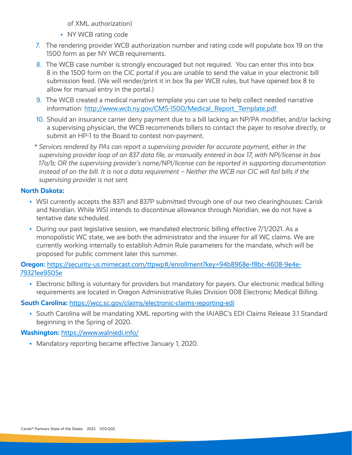of XML authorization)

- NY WCB rating code
- 7. The rendering provider WCB authorization number and rating code will populate box 19 on the 1500 form as per NY WCB requirements.
- 8. The WCB case number is strongly encouraged but not required. You can enter this into box 8 in the 1500 form on the CIC portal if you are unable to send the value in your electronic bill submission feed. (We will render/print it in box 9a per WCB rules, but have opened box 8 to allow for manual entry in the portal.)
- 9. The WCB created a medical narrative template you can use to help collect needed narrative information: [http://www.wcb.ny.gov/CMS-1500/Medical\\_Report\\_Template.pdf](http://www.wcb.ny.gov/CMS-1500/Medical_Report_Template.pdf)
- 10. Should an insurance carrier deny payment due to a bill lacking an NP/PA modifier, and/or lacking a supervising physician, the WCB recommends billers to contact the payer to resolve directly, or submit an HP-1 to the Board to contest non-payment.
- *\* Services rendered by PAs can report a supervising provider for accurate payment, either in the supervising provider loop of an 837 data file, or manually entered in box 17, with NPI/license in box 17a/b; OR the supervising provider's name/NPI/license can be reported in supporting documentation instead of on the bill. It is not a data requirement – Neither the WCB nor CIC will fail bills if the supervising provider is not sent.*

# **North Dakota:**

- WSI currently accepts the 837I and 837P submitted through one of our two clearinghouses: Carisk and Noridian. While WSI intends to discontinue allowance through Noridian, we do not have a tentative date scheduled.
- During our past legislative session, we mandated electronic billing effective 7/1/2021. As a monopolistic WC state, we are both the administrator and the insurer for all WC claims. We are currently working internally to establish Admin Rule parameters for the mandate, which will be proposed for public comment later this summer.

**Oregon:** [https://security-us.mimecast.com/ttpwp#/enrollment?key=94b8968e-f8bc-4608-9e4e-](https://security-us.mimecast.com/ttpwp#/enrollment?key=94b8968e-f8bc-4608-9e4e-79321ee9505e)[79321ee9505e](https://security-us.mimecast.com/ttpwp#/enrollment?key=94b8968e-f8bc-4608-9e4e-79321ee9505e)

• Electronic billing is voluntary for providers but mandatory for payers. Our electronic medical billing requirements are located in Oregon Administrative Rules Division 008 Electronic Medical Billing.

# **South Carolina:** <https://wcc.sc.gov/claims/electronic-claims-reporting-edi>

• South Carolina will be mandating XML reporting with the IAIABC's EDI Claims Release 3.1 Standard beginning in the Spring of 2020.

# **Washington:** <https://www.walniedi.info/>

• Mandatory reporting became effective January 1, 2020.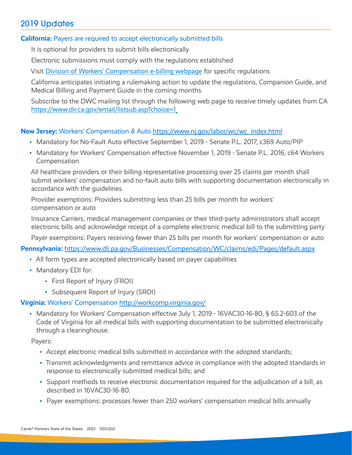# 2019 Updates

#### **California:** Payers are required to accept electronically submitted bills

It is optional for providers to submit bills electronically

Electronic submissions must comply with the regulations established

Visit [Division of Workers' Compensation e-billing webpage](https://protect-us.mimecast.com/s/rQz_CjRL7ji6QgxsWajsN) for specific regulations

California anticipates initiating a rulemaking action to update the regulations, Companion Guide, and Medical Billing and Payment Guide in the coming months

Subscribe to the DWC mailing list through the following web page to receive timely updates from CA <https://www.dir.ca.gov/email/listsub.asp?choice=1>

#### **New Jersey:** Workers' Compensation & Auto [https://www.nj.gov/labor/wc/wc\\_index.html](https://www.nj.gov/labor/wc/wc_index.html)

- Mandatory for No-Fault Auto effective September 1, 2019 Senate P.L. 2017, c369 Auto/PIP
- Mandatory for Workers' Compensation effective November 1, 2019 Senate P.L. 2016, c64 Workers Compensation

All healthcare providers or their billing representative processing over 25 claims per month shall submit workers' compensation and no-fault auto bills with supporting documentation electronically in accordance with the guidelines.

Provider exemptions: Providers submitting less than 25 bills per month for workers' compensation or auto

Insurance Carriers, medical management companies or their third-party administrators shall accept electronic bills and acknowledge receipt of a complete electronic medical bill to the submitting party

Payer exemptions: Payers receiving fewer than 25 bills per month for workers' compensation or auto

**Pennsylvania:** <https://www.dli.pa.gov/Businesses/Compensation/WC/claims/edi/Pages/default.aspx>

- All form types are accepted electronically based on payer capabilities
- Mandatory EDI for:
	- First Report of Injury (FROI)
	- Subsequent Report of Injury (SROI)

#### **Virginia:** Workers' Compensation <http://workcomp.virginia.gov/>

• Mandatory for Workers' Compensation effective July 1, 2019 - 16VAC30-16-80, § 65.2-603 of the Code of Virginia for all medical bills with supporting documentation to be submitted electronically through a clearinghouse.

Payers:

- Accept electronic medical bills submitted in accordance with the adopted standards;
- Transmit acknowledgments and remittance advice in compliance with the adopted standards in response to electronically submitted medical bills; and
- Support methods to receive electronic documentation required for the adjudication of a bill, as described in 16VAC30-16-80.
- Payer exemptions: processes fewer than 250 workers' compensation medical bills annually